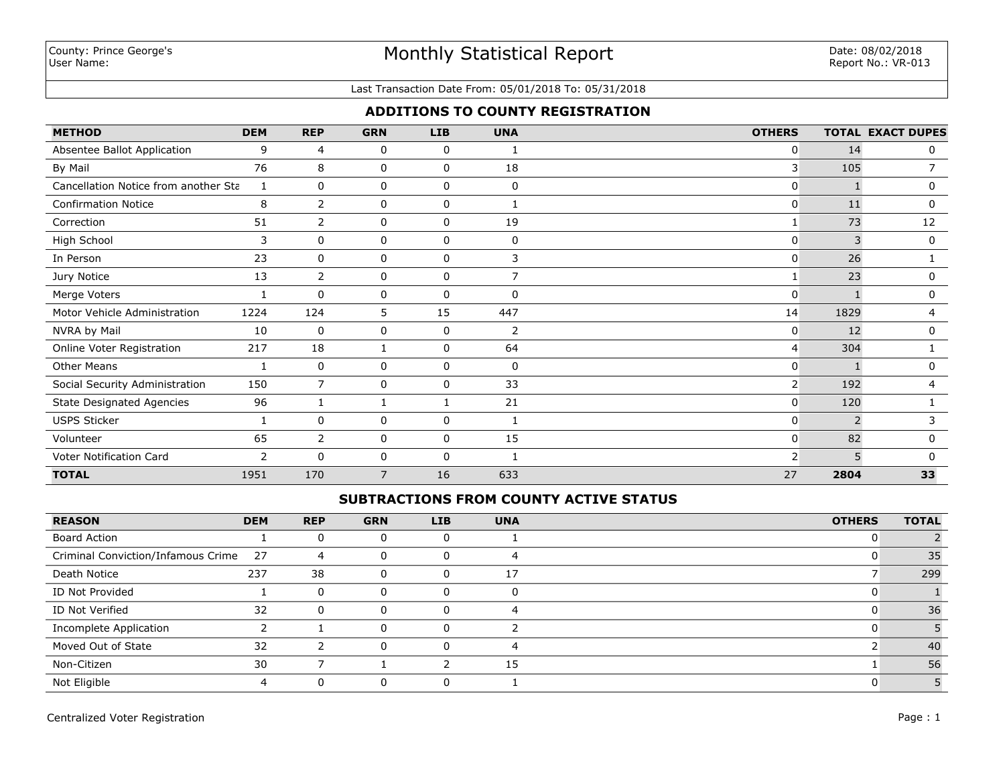#### Last Transaction Date From: 05/01/2018 To: 05/31/2018

## **ADDITIONS TO COUNTY REGISTRATION**

| <b>METHOD</b>                        | <b>DEM</b> | <b>REP</b>     | <b>GRN</b>     | <b>LIB</b>   | <b>UNA</b>     | <b>OTHERS</b>  |      | <b>TOTAL EXACT DUPES</b> |
|--------------------------------------|------------|----------------|----------------|--------------|----------------|----------------|------|--------------------------|
| Absentee Ballot Application          | 9          | 4              | 0              | 0            |                | 0              | 14   | 0                        |
| By Mail                              | 76         | 8              | 0              | 0            | 18             | 3              | 105  |                          |
| Cancellation Notice from another Sta | 1          | $\mathbf{0}$   | 0              | 0            | $\mathbf 0$    | $\Omega$       |      | 0                        |
| <b>Confirmation Notice</b>           | 8          | $\overline{2}$ | 0              | $\Omega$     |                | 0              | 11   | $\mathbf 0$              |
| Correction                           | 51         | $\overline{2}$ | 0              | 0            | 19             | 1              | 73   | 12                       |
| High School                          | 3          | $\mathbf 0$    | 0              | $\mathbf 0$  | $\mathbf 0$    | 0              | 3    | 0                        |
| In Person                            | 23         | 0              | 0              | 0            | 3              | 0              | 26   |                          |
| Jury Notice                          | 13         | $\overline{2}$ | 0              | 0            | $\overline{7}$ | $\mathbf{1}$   | 23   | 0                        |
| Merge Voters                         |            | 0              | 0              | 0            | 0              | 0              |      | 0                        |
| Motor Vehicle Administration         | 1224       | 124            | 5              | 15           | 447            | 14             | 1829 | 4                        |
| NVRA by Mail                         | 10         | $\mathbf 0$    | 0              | 0            | 2              | 0              | 12   | 0                        |
| Online Voter Registration            | 217        | 18             |                | 0            | 64             | 4              | 304  |                          |
| <b>Other Means</b>                   |            | 0              | 0              | $\Omega$     | $\mathbf{0}$   | 0              |      | 0                        |
| Social Security Administration       | 150        | $\overline{7}$ | 0              | $\mathbf 0$  | 33             | $\overline{2}$ | 192  | 4                        |
| <b>State Designated Agencies</b>     | 96         | 1              |                |              | 21             | 0              | 120  |                          |
| <b>USPS Sticker</b>                  | 1          | 0              | 0              | 0            |                | 0              | 2    | 3                        |
| Volunteer                            | 65         | $\overline{2}$ | 0              | 0            | 15             | 0              | 82   | 0                        |
| Voter Notification Card              | 2          | $\mathbf{0}$   | 0              | $\mathbf{0}$ |                | 2              | 5    | $\Omega$                 |
| <b>TOTAL</b>                         | 1951       | 170            | $\overline{7}$ | 16           | 633            | 27             | 2804 | 33                       |

## **SUBTRACTIONS FROM COUNTY ACTIVE STATUS**

| <b>REASON</b>                      | <b>DEM</b> | <b>REP</b> | <b>GRN</b> | <b>LIB</b> | <b>UNA</b> | <b>OTHERS</b> | <b>TOTAL</b> |
|------------------------------------|------------|------------|------------|------------|------------|---------------|--------------|
| <b>Board Action</b>                |            |            |            | U          |            |               |              |
| Criminal Conviction/Infamous Crime | 27         | 4          | 0          | 0          | 4          |               | 35           |
| Death Notice                       | 237        | 38         | 0          | 0          | 17         |               | 299          |
| ID Not Provided                    |            |            | 0          | 0          |            |               |              |
| ID Not Verified                    | 32         |            | O          | U          |            |               | 36           |
| Incomplete Application             |            |            |            | 0          |            |               |              |
| Moved Out of State                 | 32         |            |            | $\Omega$   | 4          |               | 40           |
| Non-Citizen                        | 30         |            |            |            | 15         |               | 56           |
| Not Eligible                       |            |            |            |            |            |               |              |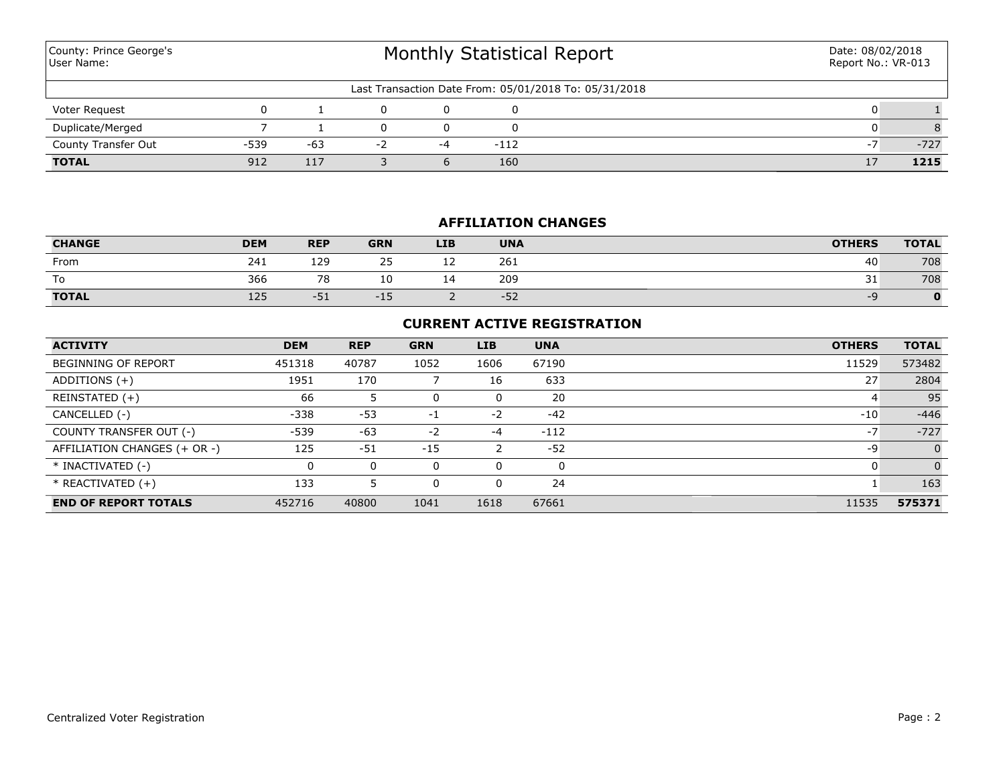| County: Prince George's<br>User Name:                 |        |       | Monthly Statistical Report | Date: 08/02/2018<br>Report No.: VR-013 |        |  |    |        |  |  |
|-------------------------------------------------------|--------|-------|----------------------------|----------------------------------------|--------|--|----|--------|--|--|
| Last Transaction Date From: 05/01/2018 To: 05/31/2018 |        |       |                            |                                        |        |  |    |        |  |  |
| Voter Request                                         |        |       |                            |                                        |        |  |    |        |  |  |
| Duplicate/Merged                                      |        |       |                            |                                        |        |  |    |        |  |  |
| <b>County Transfer Out</b>                            | $-539$ | $-63$ | $-2$                       | $-4$                                   | $-112$ |  | -7 | $-727$ |  |  |
| <b>TOTAL</b>                                          | 912    | 117   |                            |                                        | 160    |  | 17 | 1215   |  |  |

## **AFFILIATION CHANGES**

| <b>CHANGE</b> | <b>DEM</b> | <b>REP</b> | <b>GRN</b> | <b>LIB</b> | <b>UNA</b> | <b>OTHERS</b> | <b>TOTAL</b> |
|---------------|------------|------------|------------|------------|------------|---------------|--------------|
| From          | 241        | 129        | 25         | <u>_ _</u> | 261        | 40            | 708          |
| To            | 366        | 70<br>ο    | 10         | . .        | 209        | 31            | 708          |
| <b>TOTAL</b>  | 125        | $-5+$      | -15.       |            | $-52$      | -9            |              |

## **CURRENT ACTIVE REGISTRATION**

| <b>ACTIVITY</b>              | <b>DEM</b> | <b>REP</b> | <b>GRN</b> | <b>LIB</b> | <b>UNA</b> | <b>OTHERS</b> | <b>TOTAL</b>   |
|------------------------------|------------|------------|------------|------------|------------|---------------|----------------|
| <b>BEGINNING OF REPORT</b>   | 451318     | 40787      | 1052       | 1606       | 67190      | 11529         | 573482         |
| ADDITIONS $(+)$              | 1951       | 170        |            | 16         | 633        | 27            | 2804           |
| REINSTATED (+)               | 66         |            |            | 0          | 20         |               | 95             |
| CANCELLED (-)                | $-338$     | $-53$      | -1         | $-2$       | $-42$      | $-10$         | $-446$         |
| COUNTY TRANSFER OUT (-)      | $-539$     | $-63$      | $-2$       | $-4$       | $-112$     | $-7$          | $-727$         |
| AFFILIATION CHANGES (+ OR -) | 125        | $-51$      | $-15$      |            | $-52$      | -9            | $\overline{0}$ |
| * INACTIVATED (-)            | 0          | 0          | 0          | 0          | $\Omega$   |               | $\overline{0}$ |
| $*$ REACTIVATED $(+)$        | 133        |            |            | 0          | 24         |               | 163            |
| <b>END OF REPORT TOTALS</b>  | 452716     | 40800      | 1041       | 1618       | 67661      | 11535         | 575371         |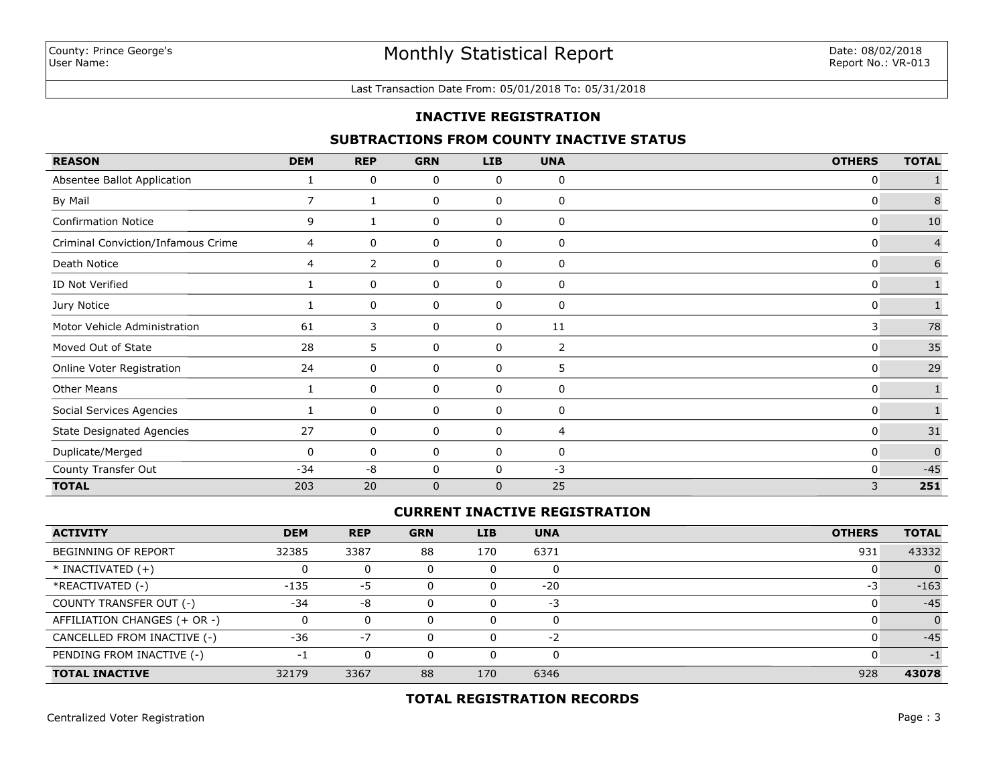#### Last Transaction Date From: 05/01/2018 To: 05/31/2018

#### **INACTIVE REGISTRATION**

#### **SUBTRACTIONS FROM COUNTY INACTIVE STATUS**

| <b>REASON</b>                      | <b>DEM</b>     | <b>REP</b>     | <b>GRN</b>   | <b>LIB</b>  | <b>UNA</b>     | <b>OTHERS</b> | <b>TOTAL</b>   |
|------------------------------------|----------------|----------------|--------------|-------------|----------------|---------------|----------------|
| Absentee Ballot Application        |                | 0              | 0            | 0           | 0              | 0             |                |
| By Mail                            | $\overline{7}$ |                | 0            | 0           | 0              | 0             | 8              |
| <b>Confirmation Notice</b>         | 9              |                | 0            | 0           | 0              | 0             | $10\,$         |
| Criminal Conviction/Infamous Crime | 4              | 0              | 0            | 0           | 0              | 0             | $\overline{4}$ |
| Death Notice                       | 4              | $\overline{2}$ | 0            | 0           | 0              | 0             | 6              |
| ID Not Verified                    |                | 0              | 0            | 0           | 0              | 0             |                |
| Jury Notice                        |                | 0              | 0            | 0           | 0              | 0             |                |
| Motor Vehicle Administration       | 61             | 3              | 0            | 0           | 11             | 3             | 78             |
| Moved Out of State                 | 28             | 5              | 0            | 0           | $\overline{2}$ | 0             | 35             |
| Online Voter Registration          | 24             | 0              | 0            | 0           | 5              | 0             | 29             |
| <b>Other Means</b>                 | 1              | 0              | 0            | 0           | 0              | 0             |                |
| Social Services Agencies           |                | 0              | 0            | 0           | 0              | 0             |                |
| <b>State Designated Agencies</b>   | 27             | 0              | 0            | 0           | 4              | 0             | 31             |
| Duplicate/Merged                   | 0              | 0              | 0            | 0           | 0              | 0             | $\Omega$       |
| County Transfer Out                | $-34$          | $-8$           | $\mathbf 0$  | $\mathbf 0$ | -3             | $\Omega$      | $-45$          |
| <b>TOTAL</b>                       | 203            | 20             | $\mathbf{0}$ | $\mathbf 0$ | 25             | 3             | 251            |

#### **CURRENT INACTIVE REGISTRATION**

| <b>ACTIVITY</b>              | <b>DEM</b> | <b>REP</b> | <b>GRN</b> | <b>LIB</b> | <b>UNA</b> | <b>OTHERS</b> | <b>TOTAL</b> |
|------------------------------|------------|------------|------------|------------|------------|---------------|--------------|
| <b>BEGINNING OF REPORT</b>   | 32385      | 3387       | 88         | 170        | 6371       | 931           | 43332        |
| $*$ INACTIVATED $(+)$        |            | $\Omega$   |            |            | $\Omega$   |               | $\Omega$     |
| *REACTIVATED (-)             | $-135$     | -5         |            |            | $-20$      | -3            | $-163$       |
| COUNTY TRANSFER OUT (-)      | $-34$      | -8         |            |            | $-3$       |               | $-45$        |
| AFFILIATION CHANGES (+ OR -) |            | $\Omega$   |            |            | 0          |               | $\Omega$     |
| CANCELLED FROM INACTIVE (-)  | -36        | -7         |            |            | $-2$       |               | $-45$        |
| PENDING FROM INACTIVE (-)    | - 1        | 0          |            |            | $\Omega$   |               | - 1          |
| <b>TOTAL INACTIVE</b>        | 32179      | 3367       | 88         | 170        | 6346       | 928           | 43078        |

## **TOTAL REGISTRATION RECORDS**